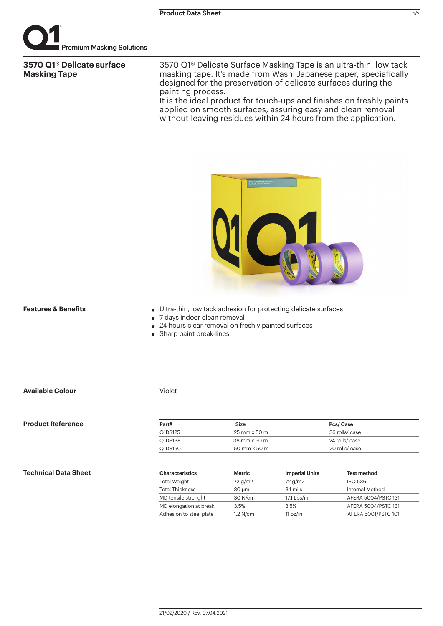

# **3570 Q1® Delicate surface Masking Tape**

3570 Q1® Delicate Surface Masking Tape is an ultra-thin, low tack masking tape. It's made from Washi Japanese paper, speciafically designed for the preservation of delicate surfaces during the painting process.

It is the ideal product for touch-ups and finishes on freshly paints applied on smooth surfaces, assuring easy and clean removal without leaving residues within 24 hours from the application.



# **Features & Benefits**

- Ultra-thin, low tack adhesion for protecting delicate surfaces
- 7 days indoor clean removal
- 24 hours clear removal on freshly painted surfaces
- Sharp paint break-lines

# **Available Colour**

### Violet

## **Product Reference**

| Part#   | Size                                | Pcs/Case       |  |
|---------|-------------------------------------|----------------|--|
| Q1DS125 | $25 \text{ mm} \times 50 \text{ m}$ | 36 rolls/ case |  |
| Q1DS138 | 38 mm x 50 m                        | 24 rolls/ case |  |
| Q1DS150 | $50 \text{ mm} \times 50 \text{ m}$ | 20 rolls/ case |  |
|         |                                     |                |  |

# **Technical Data Sheet**

| <b>Characteristics</b>  | <b>Metric</b> | <b>Imperial Units</b> | <b>Test method</b>  |
|-------------------------|---------------|-----------------------|---------------------|
| <b>Total Weight</b>     | 72 g/m2       | 72 g/m2               | <b>ISO 536</b>      |
| <b>Total Thickness</b>  | 80 um         | 3.1 mils              | Internal Method     |
| MD tensile strenght     | 30 N/cm       | 17.1 Lbs/in           | AFERA 5004/PSTC 131 |
| MD elongation at break  | 3.5%          | 3.5%                  | AFERA 5004/PSTC 131 |
| Adhesion to steel plate | $1.2$ N/cm    | 11 oz/in              | AFERA 5001/PSTC 101 |